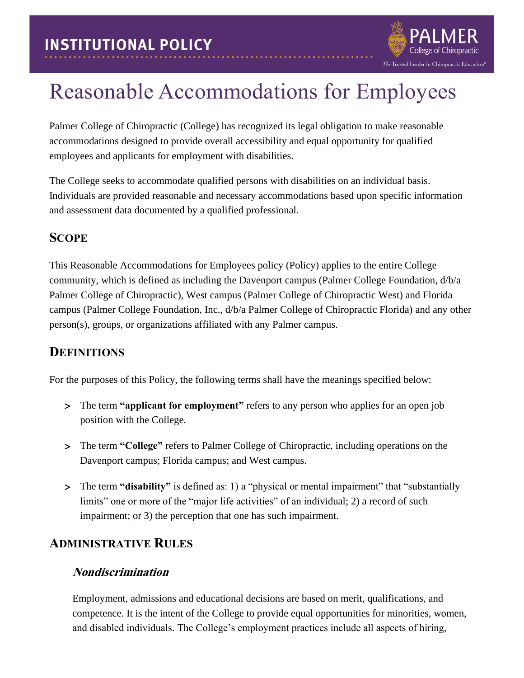

# Reasonable Accommodations for Employees

Palmer College of Chiropractic (College) has recognized its legal obligation to make reasonable accommodations designed to provide overall accessibility and equal opportunity for qualified employees and applicants for employment with disabilities.

The College seeks to accommodate qualified persons with disabilities on an individual basis. Individuals are provided reasonable and necessary accommodations based upon specific information and assessment data documented by a qualified professional.

# **SCOPE**

This Reasonable Accommodations for Employees policy (Policy) applies to the entire College community, which is defined as including the Davenport campus (Palmer College Foundation, d/b/a Palmer College of Chiropractic), West campus (Palmer College of Chiropractic West) and Florida campus (Palmer College Foundation, Inc., d/b/a Palmer College of Chiropractic Florida) and any other person(s), groups, or organizations affiliated with any Palmer campus.

### **DEFINITIONS**

For the purposes of this Policy, the following terms shall have the meanings specified below:

- The term **"applicant for employment"** refers to any person who applies for an open job position with the College.
- The term **"College"** refers to Palmer College of Chiropractic, including operations on the Davenport campus; Florida campus; and West campus.
- The term **"disability"** is defined as: 1) a "physical or mental impairment" that "substantially limits" one or more of the "major life activities" of an individual; 2) a record of such impairment; or 3) the perception that one has such impairment.

### **ADMINISTRATIVE RULES**

### **Nondiscrimination**

Employment, admissions and educational decisions are based on merit, qualifications, and competence. It is the intent of the College to provide equal opportunities for minorities, women, and disabled individuals. The College's employment practices include all aspects of hiring,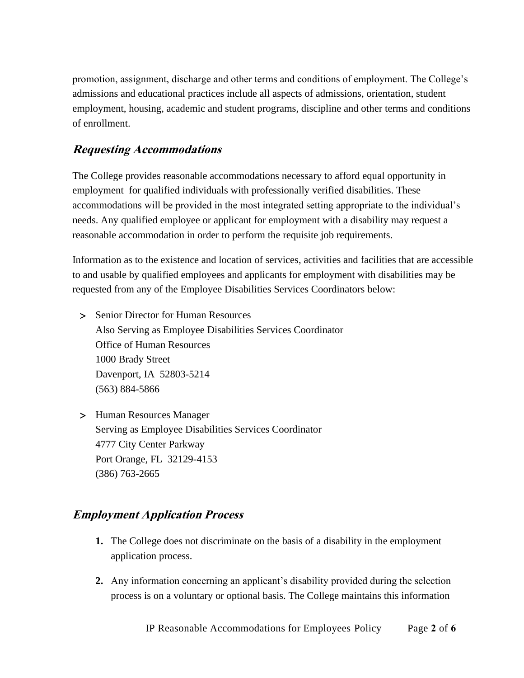promotion, assignment, discharge and other terms and conditions of employment. The College's admissions and educational practices include all aspects of admissions, orientation, student employment, housing, academic and student programs, discipline and other terms and conditions of enrollment.

### **Requesting Accommodations**

The College provides reasonable accommodations necessary to afford equal opportunity in employment for qualified individuals with professionally verified disabilities. These accommodations will be provided in the most integrated setting appropriate to the individual's needs. Any qualified employee or applicant for employment with a disability may request a reasonable accommodation in order to perform the requisite job requirements.

Information as to the existence and location of services, activities and facilities that are accessible to and usable by qualified employees and applicants for employment with disabilities may be requested from any of the Employee Disabilities Services Coordinators below:

- > Senior Director for Human Resources Also Serving as Employee Disabilities Services Coordinator Office of Human Resources 1000 Brady Street Davenport, IA 52803-5214 (563) 884-5866
- Human Resources Manager Serving as Employee Disabilities Services Coordinator 4777 City Center Parkway Port Orange, FL 32129-4153 (386) 763-2665

### **Employment Application Process**

- **1.** The College does not discriminate on the basis of a disability in the employment application process.
- **2.** Any information concerning an applicant's disability provided during the selection process is on a voluntary or optional basis. The College maintains this information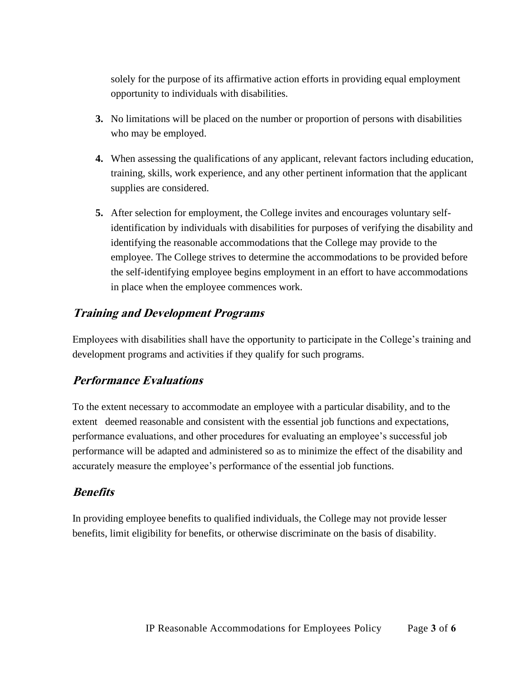solely for the purpose of its affirmative action efforts in providing equal employment opportunity to individuals with disabilities.

- **3.** No limitations will be placed on the number or proportion of persons with disabilities who may be employed.
- **4.** When assessing the qualifications of any applicant, relevant factors including education, training, skills, work experience, and any other pertinent information that the applicant supplies are considered.
- **5.** After selection for employment, the College invites and encourages voluntary selfidentification by individuals with disabilities for purposes of verifying the disability and identifying the reasonable accommodations that the College may provide to the employee. The College strives to determine the accommodations to be provided before the self-identifying employee begins employment in an effort to have accommodations in place when the employee commences work.

#### **Training and Development Programs**

Employees with disabilities shall have the opportunity to participate in the College's training and development programs and activities if they qualify for such programs.

### **Performance Evaluations**

To the extent necessary to accommodate an employee with a particular disability, and to the extent deemed reasonable and consistent with the essential job functions and expectations, performance evaluations, and other procedures for evaluating an employee's successful job performance will be adapted and administered so as to minimize the effect of the disability and accurately measure the employee's performance of the essential job functions.

### **Benefits**

In providing employee benefits to qualified individuals, the College may not provide lesser benefits, limit eligibility for benefits, or otherwise discriminate on the basis of disability.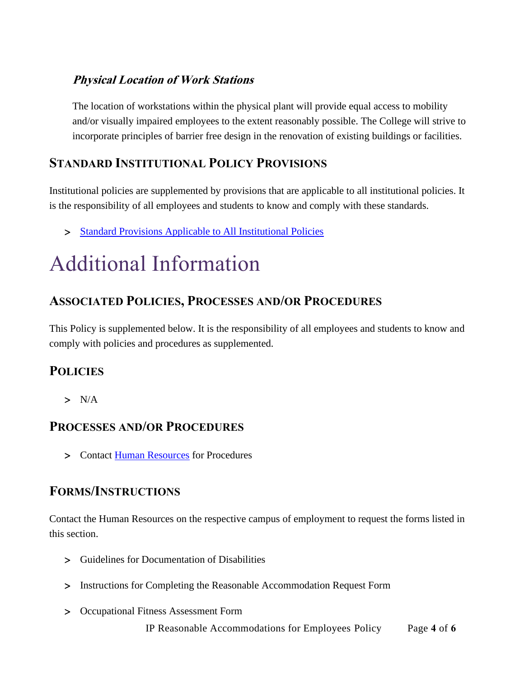### **Physical Location of Work Stations**

The location of workstations within the physical plant will provide equal access to mobility and/or visually impaired employees to the extent reasonably possible. The College will strive to incorporate principles of barrier free design in the renovation of existing buildings or facilities.

# **STANDARD INSTITUTIONAL POLICY PROVISIONS**

Institutional policies are supplemented by provisions that are applicable to all institutional policies. It is the responsibility of all employees and students to know and comply with these standards.

> [Standard Provisions Applicable to All Institutional Policies](http://www.palmer.edu/uploadedFiles/Pages/Students/Resources_and_Offices/Handbook_and_Policies/_pdf/Standard-Provisions-Applicable-to-All-Institutional-Policies.pdf)

# Additional Information

# **ASSOCIATED POLICIES, PROCESSES AND/OR PROCEDURES**

This Policy is supplemented below. It is the responsibility of all employees and students to know and comply with policies and procedures as supplemented.

# **POLICIES**

 $> N/A$ 

### **PROCESSES AND/OR PROCEDURES**

> Contact [Human Resources](#page-4-0) for Procedures

### **FORMS/INSTRUCTIONS**

Contact the Human Resources on the respective campus of employment to request the forms listed in this section.

- Guidelines for Documentation of Disabilities
- Instructions for Completing the Reasonable Accommodation Request Form
- Occupational Fitness Assessment Form

IP Reasonable Accommodations for Employees Policy Page **4** of **6**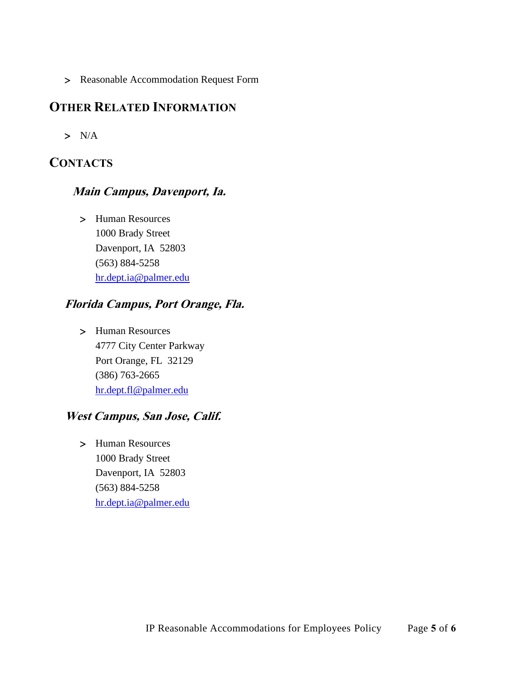Reasonable Accommodation Request Form

### **OTHER RELATED INFORMATION**

 $> N/A$ 

# <span id="page-4-0"></span>**CONTACTS**

#### **Main Campus, Davenport, Ia.**

 Human Resources 1000 Brady Street Davenport, IA 52803 (563) 884-5258 [hr.dept.ia@palmer.edu](mailto:hr.dept.ia@palmer.edu) 

### **Florida Campus, Port Orange, Fla.**

 Human Resources 4777 City Center Parkway Port Orange, FL 32129 (386) 763-2665 [hr.dept.fl@palmer.edu](mailto:hr.dept.fl@palmer.edu) 

### **West Campus, San Jose, Calif.**

> Human Resources 1000 Brady Street Davenport, IA 52803 (563) 884-5258 [hr.dept.ia@palmer.edu](mailto:hr.dept.ia@palmer.edu)